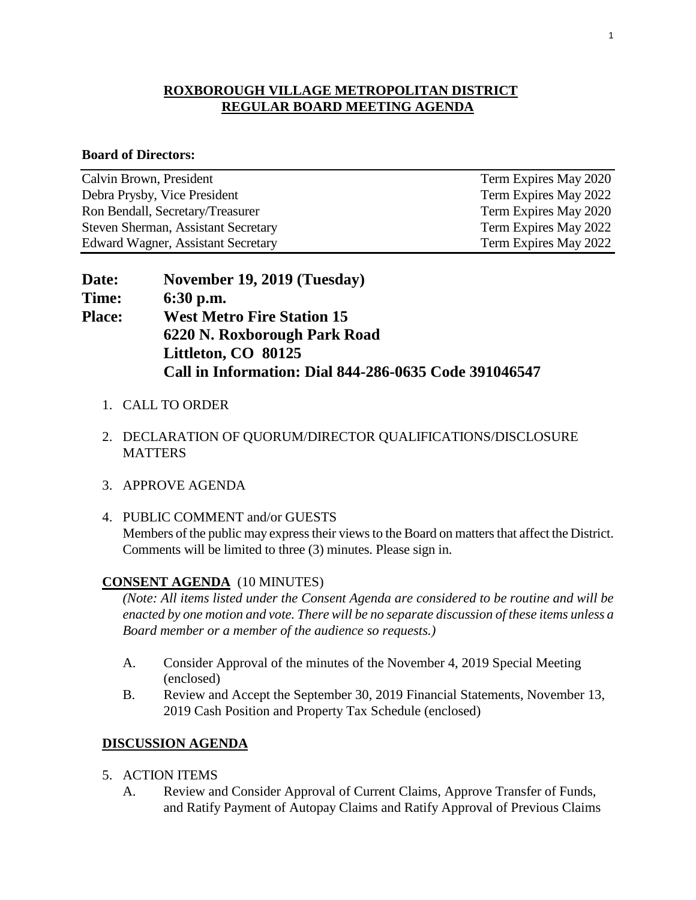#### **ROXBOROUGH VILLAGE METROPOLITAN DISTRICT REGULAR BOARD MEETING AGENDA**

#### **Board of Directors:**

| Calvin Brown, President                   | Term Expires May 2020 |
|-------------------------------------------|-----------------------|
| Debra Prysby, Vice President              | Term Expires May 2022 |
| Ron Bendall, Secretary/Treasurer          | Term Expires May 2020 |
| Steven Sherman, Assistant Secretary       | Term Expires May 2022 |
| <b>Edward Wagner, Assistant Secretary</b> | Term Expires May 2022 |

| <b>Date:</b>  | November 19, 2019 (Tuesday)                           |
|---------------|-------------------------------------------------------|
| <b>Time:</b>  | $6:30$ p.m.                                           |
| <b>Place:</b> | <b>West Metro Fire Station 15</b>                     |
|               | 6220 N. Roxborough Park Road                          |
|               | Littleton, CO 80125                                   |
|               | Call in Information: Dial 844-286-0635 Code 391046547 |

- 1. CALL TO ORDER
- 2. DECLARATION OF QUORUM/DIRECTOR QUALIFICATIONS/DISCLOSURE **MATTERS**
- 3. APPROVE AGENDA
- 4. PUBLIC COMMENT and/or GUESTS Members of the public may express their views to the Board on matters that affect the District. Comments will be limited to three (3) minutes. Please sign in.

#### **CONSENT AGENDA** (10 MINUTES)

*(Note: All items listed under the Consent Agenda are considered to be routine and will be enacted by one motion and vote. There will be no separate discussion of these items unless a Board member or a member of the audience so requests.)* 

- A. Consider Approval of the minutes of the November 4, 2019 Special Meeting (enclosed)
- B. Review and Accept the September 30, 2019 Financial Statements, November 13, 2019 Cash Position and Property Tax Schedule (enclosed)

#### **DISCUSSION AGENDA**

- 5. ACTION ITEMS
	- A. Review and Consider Approval of Current Claims, Approve Transfer of Funds, and Ratify Payment of Autopay Claims and Ratify Approval of Previous Claims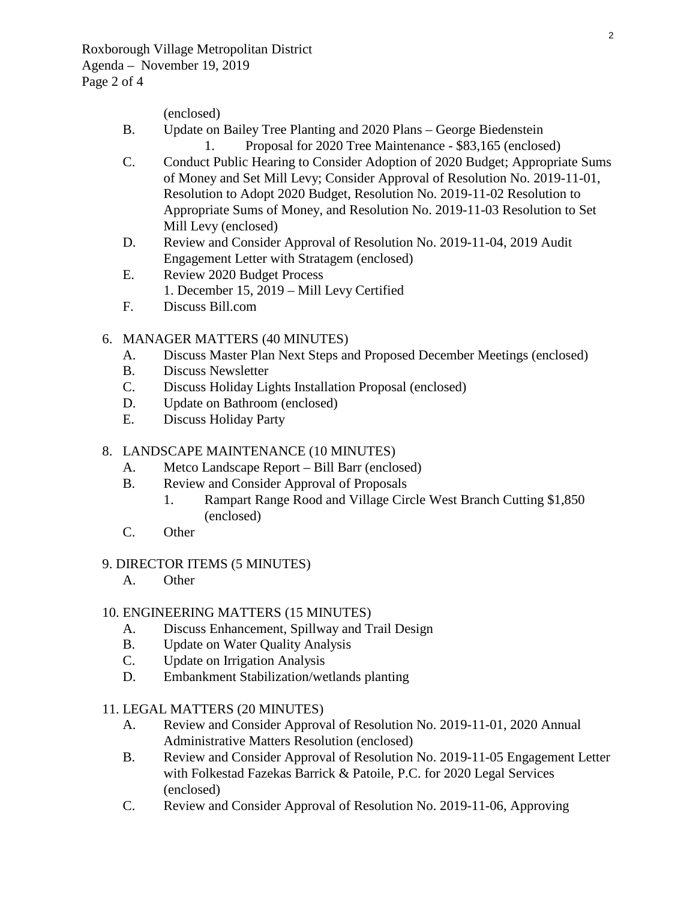(enclosed)

- B. Update on Bailey Tree Planting and 2020 Plans George Biedenstein 1. Proposal for 2020 Tree Maintenance - \$83,165 (enclosed)
- C. Conduct Public Hearing to Consider Adoption of 2020 Budget; Appropriate Sums of Money and Set Mill Levy; Consider Approval of Resolution No. 2019-11-01, Resolution to Adopt 2020 Budget, Resolution No. 2019-11-02 Resolution to Appropriate Sums of Money, and Resolution No. 2019-11-03 Resolution to Set Mill Levy (enclosed)
- D. Review and Consider Approval of Resolution No. 2019-11-04, 2019 Audit Engagement Letter with Stratagem (enclosed)
- E. Review 2020 Budget Process
	- 1. December 15, 2019 Mill Levy Certified
- F. Discuss Bill.com

#### 6. MANAGER MATTERS (40 MINUTES)

- A. Discuss Master Plan Next Steps and Proposed December Meetings (enclosed)
- B. Discuss Newsletter
- C. Discuss Holiday Lights Installation Proposal (enclosed)
- D. Update on Bathroom (enclosed)
- E. Discuss Holiday Party

#### 8. LANDSCAPE MAINTENANCE (10 MINUTES)

- A. Metco Landscape Report Bill Barr (enclosed)
- B. Review and Consider Approval of Proposals
	- 1. Rampart Range Rood and Village Circle West Branch Cutting \$1,850 (enclosed)
- C. Other

#### 9. DIRECTOR ITEMS (5 MINUTES)

A. Other

#### 10. ENGINEERING MATTERS (15 MINUTES)

- A. Discuss Enhancement, Spillway and Trail Design
- B. Update on Water Quality Analysis
- C. Update on Irrigation Analysis
- D. Embankment Stabilization/wetlands planting

#### 11. LEGAL MATTERS (20 MINUTES)

- A. Review and Consider Approval of Resolution No. 2019-11-01, 2020 Annual Administrative Matters Resolution (enclosed)
- B. Review and Consider Approval of Resolution No. 2019-11-05 Engagement Letter with Folkestad Fazekas Barrick & Patoile, P.C. for 2020 Legal Services (enclosed)
- C. Review and Consider Approval of Resolution No. 2019-11-06, Approving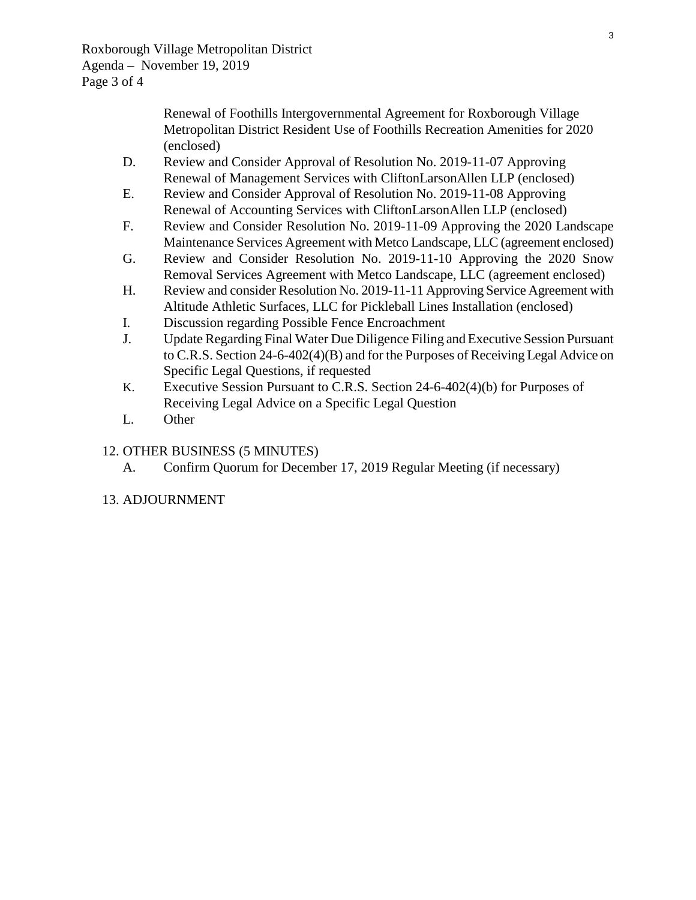Renewal of Foothills Intergovernmental Agreement for Roxborough Village Metropolitan District Resident Use of Foothills Recreation Amenities for 2020 (enclosed)

- D. Review and Consider Approval of Resolution No. 2019-11-07 Approving Renewal of Management Services with CliftonLarsonAllen LLP (enclosed)
- E. Review and Consider Approval of Resolution No. 2019-11-08 Approving Renewal of Accounting Services with CliftonLarsonAllen LLP (enclosed)
- F. Review and Consider Resolution No. 2019-11-09 Approving the 2020 Landscape Maintenance Services Agreement with Metco Landscape, LLC (agreement enclosed)
- G. Review and Consider Resolution No. 2019-11-10 Approving the 2020 Snow Removal Services Agreement with Metco Landscape, LLC (agreement enclosed)
- H. Review and consider Resolution No. 2019-11-11 Approving Service Agreement with Altitude Athletic Surfaces, LLC for Pickleball Lines Installation (enclosed)
- I. Discussion regarding Possible Fence Encroachment
- J. Update Regarding Final Water Due Diligence Filing and Executive Session Pursuant to C.R.S. Section 24-6-402(4)(B) and for the Purposes of Receiving Legal Advice on Specific Legal Questions, if requested
- K. Executive Session Pursuant to C.R.S. Section 24-6-402(4)(b) for Purposes of Receiving Legal Advice on a Specific Legal Question
- L. Other

## 12. OTHER BUSINESS (5 MINUTES)

A. Confirm Quorum for December 17, 2019 Regular Meeting (if necessary)

## 13. ADJOURNMENT